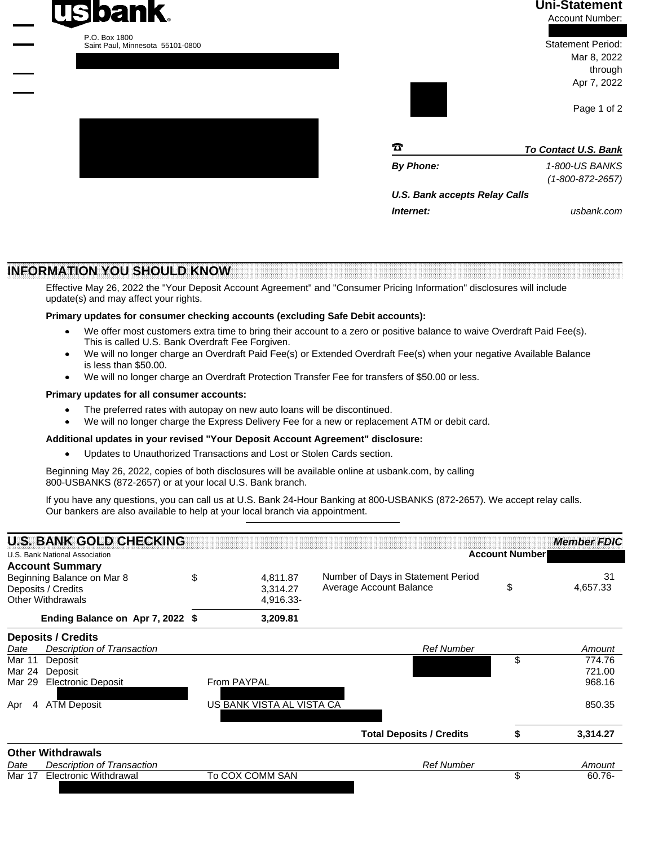## **Uni-Statement**

Account Number:

 Statement Period: Mar 8, 2022 through Apr 7, 2022

Page 1 of 2

| π                             | <b>To Contact U.S. Bank</b> |
|-------------------------------|-----------------------------|
| <b>By Phone:</b>              | 1-800-US BANKS              |
|                               | $(1 - 800 - 872 - 2657)$    |
| U.S. Bank accepts Relay Calls |                             |
| Internet:                     | usbank.com                  |

**INFORMATION YOU SHOULD KNOW**

Effective May 26, 2022 the "Your Deposit Account Agreement" and "Consumer Pricing Information" disclosures will include update(s) and may affect your rights.

#### **Primary updates for consumer checking accounts (excluding Safe Debit accounts):**

- We offer most customers extra time to bring their account to a zero or positive balance to waive Overdraft Paid Fee(s). This is called U.S. Bank Overdraft Fee Forgiven. ·
- We will no longer charge an Overdraft Paid Fee(s) or Extended Overdraft Fee(s) when your negative Available Balance is less than \$50.00. ·
- We will no longer charge an Overdraft Protection Transfer Fee for transfers of \$50.00 or less. ·

#### **Primary updates for all consumer accounts:**

- The preferred rates with autopay on new auto loans will be discontinued. ·
- We will no longer charge the Express Delivery Fee for a new or replacement ATM or debit card. ·

#### **Additional updates in your revised "Your Deposit Account Agreement" disclosure:**

Updates to Unauthorized Transactions and Lost or Stolen Cards section. ·

Beginning May 26, 2022, copies of both disclosures will be available online at usbank.com, by calling 800-USBANKS (872-2657) or at your local U.S. Bank branch.

If you have any questions, you can call us at U.S. Bank 24-Hour Banking at 800-USBANKS (872-2657). We accept relay calls. Our bankers are also available to help at your local branch via appointment.

| Number of Days in Statement Period<br>31<br>Beginning Balance on Mar 8<br>\$<br>4.811.87<br>Average Account Balance<br>\$<br>4,657.33<br>Deposits / Credits<br>3.314.27<br>Other Withdrawals<br>4,916.33-<br>Ending Balance on Apr 7, 2022 \$<br>3,209.81<br><b>Deposits / Credits</b><br><b>Description of Transaction</b><br><b>Ref Number</b><br>Date<br>\$<br>Mar 11<br>Deposit<br>Deposit<br>Mar 24<br><b>Electronic Deposit</b><br>From PAYPAL<br>Mar 29<br>US BANK VISTA AL VISTA CA<br><b>ATM Deposit</b><br>Apr<br>4<br><b>Total Deposits / Credits</b><br>3,314.27<br><b>Other Withdrawals</b><br><b>Ref Number</b><br>Description of Transaction<br>Date<br>\$<br><b>Electronic Withdrawal</b><br>To COX COMM SAN<br>Mar 17<br>$60.76 -$ |                        | <b>U.S. BANK GOLD CHECKING</b><br>U.S. Bank National Association |  | <b>Member FDIC</b><br><b>Account Number</b> |  |        |  |
|-----------------------------------------------------------------------------------------------------------------------------------------------------------------------------------------------------------------------------------------------------------------------------------------------------------------------------------------------------------------------------------------------------------------------------------------------------------------------------------------------------------------------------------------------------------------------------------------------------------------------------------------------------------------------------------------------------------------------------------------------------|------------------------|------------------------------------------------------------------|--|---------------------------------------------|--|--------|--|
|                                                                                                                                                                                                                                                                                                                                                                                                                                                                                                                                                                                                                                                                                                                                                     | <b>Account Summary</b> |                                                                  |  |                                             |  |        |  |
|                                                                                                                                                                                                                                                                                                                                                                                                                                                                                                                                                                                                                                                                                                                                                     |                        |                                                                  |  |                                             |  |        |  |
|                                                                                                                                                                                                                                                                                                                                                                                                                                                                                                                                                                                                                                                                                                                                                     |                        |                                                                  |  |                                             |  |        |  |
|                                                                                                                                                                                                                                                                                                                                                                                                                                                                                                                                                                                                                                                                                                                                                     |                        |                                                                  |  |                                             |  | Amount |  |
|                                                                                                                                                                                                                                                                                                                                                                                                                                                                                                                                                                                                                                                                                                                                                     |                        |                                                                  |  |                                             |  | 774.76 |  |
|                                                                                                                                                                                                                                                                                                                                                                                                                                                                                                                                                                                                                                                                                                                                                     |                        |                                                                  |  |                                             |  | 721.00 |  |
|                                                                                                                                                                                                                                                                                                                                                                                                                                                                                                                                                                                                                                                                                                                                                     |                        |                                                                  |  |                                             |  | 968.16 |  |
|                                                                                                                                                                                                                                                                                                                                                                                                                                                                                                                                                                                                                                                                                                                                                     |                        |                                                                  |  |                                             |  | 850.35 |  |
|                                                                                                                                                                                                                                                                                                                                                                                                                                                                                                                                                                                                                                                                                                                                                     |                        |                                                                  |  |                                             |  |        |  |
|                                                                                                                                                                                                                                                                                                                                                                                                                                                                                                                                                                                                                                                                                                                                                     |                        |                                                                  |  |                                             |  |        |  |
|                                                                                                                                                                                                                                                                                                                                                                                                                                                                                                                                                                                                                                                                                                                                                     |                        |                                                                  |  |                                             |  | Amount |  |
|                                                                                                                                                                                                                                                                                                                                                                                                                                                                                                                                                                                                                                                                                                                                                     |                        |                                                                  |  |                                             |  |        |  |





# 1010101010101010101010 1010110101000100011111 1010000100001001001110 1001110101000000101111 1101110000101101011000 1101111011000000110001 1000010010010110010000 1001110000010011010011 1100001010000011011000 1101000001101000101111 1000101000111001001010 1110010110101011000001 1010110100010010100000 1010110010101111010001 1101011001110110110000 1011011000011100000101 1001111001111100110000 1100111001010010001011 1111101110101011000010 1111010100010101011001 1110011001111111101000 1111111111111111111111